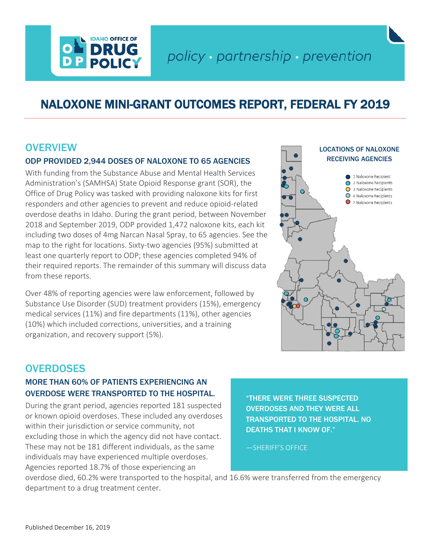# policy · partnership · prevention

## NALOXONE MINI-GRANT OUTCOMES REPORT, FEDERAL FY 2019

### **OVERVIEW**

### ODP PROVIDED 2,944 DOSES OF NALOXONE TO 65 AGENCIES

**IDAHO OFFICE OF DRUG** 

With funding from the Substance Abuse and Mental Health Services Administration's (SAMHSA) State Opioid Response grant (SOR), the Office of Drug Policy was tasked with providing naloxone kits for first responders and other agencies to prevent and reduce opioid-related overdose deaths in Idaho. During the grant period, between November 2018 and September 2019, ODP provided 1,472 naloxone kits, each kit including two doses of 4mg Narcan Nasal Spray, to 65 agencies. See the map to the right for locations. Sixty-two agencies (95%) submitted at least one quarterly report to ODP; these agencies completed 94% of their required reports. The remainder of this summary will discuss data from these reports.

Over 48% of reporting agencies were law enforcement, followed by Substance Use Disorder (SUD) treatment providers (15%), emergency medical services (11%) and fire departments (11%), other agencies (10%) which included corrections, universities, and a training organization, and recovery support (5%).



### **OVERDOSES**

### MORE THAN 60% OF PATIENTS EXPERIENCING AN OVERDOSE WERE TRANSPORTED TO THE HOSPITAL.

During the grant period, agencies reported 181 suspected or known opioid overdoses. These included any overdoses within their jurisdiction or service community, not excluding those in which the agency did not have contact. These may not be 181 different individuals, as the same individuals may have experienced multiple overdoses. Agencies reported 18.7% of those experiencing an

"THERE WERE THREE SUSPECTED OVERDOSES AND THEY WERE ALL TRANSPORTED TO THE HOSPITAL. NO DEATHS THAT I KNOW OF."

—SHERIFF'S OFFICE

overdose died, 60.2% were transported to the hospital, and 16.6% were transferred from the emergency department to a drug treatment center.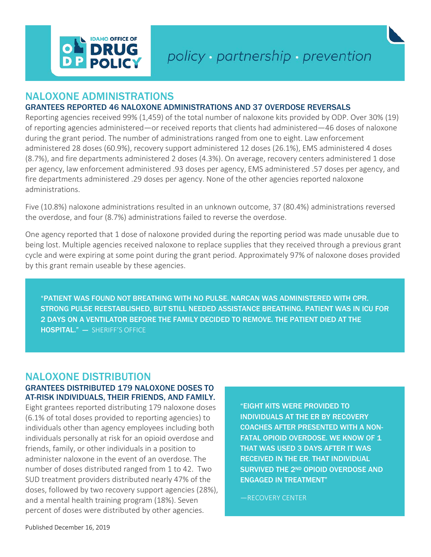

### NALOXONE ADMINISTRATIONS

#### GRANTEES REPORTED 46 NALOXONE ADMINISTRATIONS AND 37 OVERDOSE REVERSALS

Reporting agencies received 99% (1,459) of the total number of naloxone kits provided by ODP. Over 30% (19) of reporting agencies administered—or received reports that clients had administered—46 doses of naloxone during the grant period. The number of administrations ranged from one to eight. Law enforcement administered 28 doses (60.9%), recovery support administered 12 doses (26.1%), EMS administered 4 doses (8.7%), and fire departments administered 2 doses (4.3%). On average, recovery centers administered 1 dose per agency, law enforcement administered .93 doses per agency, EMS administered .57 doses per agency, and fire departments administered .29 doses per agency. None of the other agencies reported naloxone administrations.

Five (10.8%) naloxone administrations resulted in an unknown outcome, 37 (80.4%) administrations reversed the overdose, and four (8.7%) administrations failed to reverse the overdose.

One agency reported that 1 dose of naloxone provided during the reporting period was made unusable due to being lost. Multiple agencies received naloxone to replace supplies that they received through a previous grant cycle and were expiring at some point during the grant period. Approximately 97% of naloxone doses provided by this grant remain useable by these agencies.

"PATIENT WAS FOUND NOT BREATHING WITH NO PULSE. NARCAN WAS ADMINISTERED WITH CPR. STRONG PULSE REESTABLISHED, BUT STILL NEEDED ASSISTANCE BREATHING. PATIENT WAS IN ICU FOR 2 DAYS ON A VENTILATOR BEFORE THE FAMILY DECIDED TO REMOVE. THE PATIENT DIED AT THE HOSPITAL." — SHERIFF'S OFFICE

### NALOXONE DISTRIBUTION

#### GRANTEES DISTRIBUTED 179 NALOXONE DOSES TO AT-RISK INDIVIDUALS, THEIR FRIENDS, AND FAMILY.

Eight grantees reported distributing 179 naloxone doses (6.1% of total doses provided to reporting agencies) to individuals other than agency employees including both individuals personally at risk for an opioid overdose and friends, family, or other individuals in a position to administer naloxone in the event of an overdose. The number of doses distributed ranged from 1 to 42. Two SUD treatment providers distributed nearly 47% of the doses, followed by two recovery support agencies (28%), and a mental health training program (18%). Seven percent of doses were distributed by other agencies.

"EIGHT KITS WERE PROVIDED TO INDIVIDUALS AT THE ER BY RECOVERY COACHES AFTER PRESENTED WITH A NON-FATAL OPIOID OVERDOSE. WE KNOW OF 1 THAT WAS USED 3 DAYS AFTER IT WAS RECEIVED IN THE ER. THAT INDIVIDUAL SURVIVED THE 2ND OPIOID OVERDOSE AND ENGAGED IN TREATMENT"

—RECOVERY CENTER